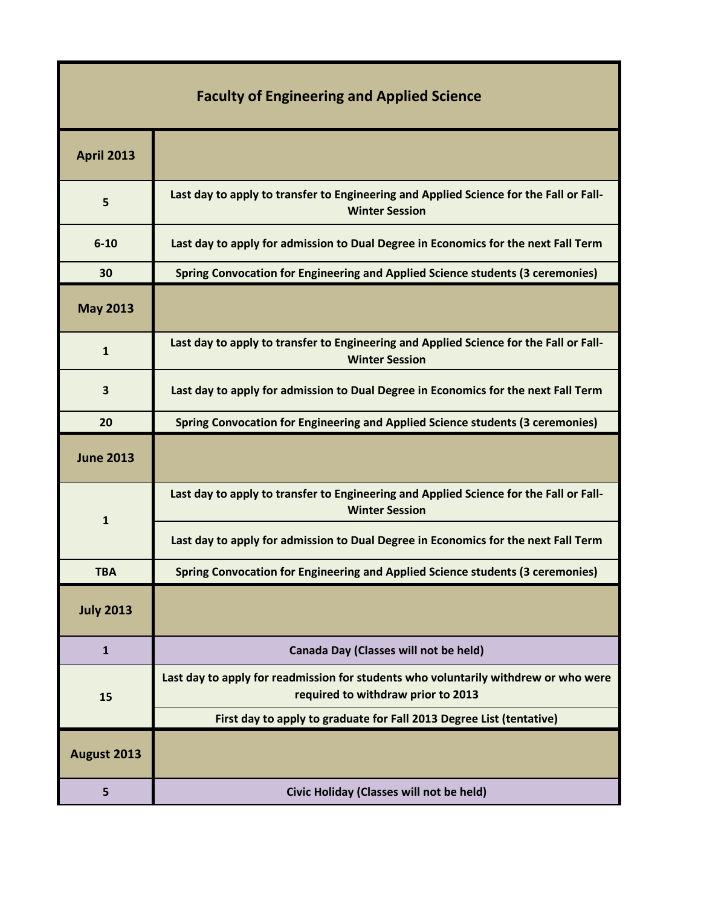| <b>Faculty of Engineering and Applied Science</b> |                                                                                                                           |
|---------------------------------------------------|---------------------------------------------------------------------------------------------------------------------------|
| <b>April 2013</b>                                 |                                                                                                                           |
| 5                                                 | Last day to apply to transfer to Engineering and Applied Science for the Fall or Fall-<br><b>Winter Session</b>           |
| $6 - 10$                                          | Last day to apply for admission to Dual Degree in Economics for the next Fall Term                                        |
| 30                                                | <b>Spring Convocation for Engineering and Applied Science students (3 ceremonies)</b>                                     |
| <b>May 2013</b>                                   |                                                                                                                           |
| $\mathbf{1}$                                      | Last day to apply to transfer to Engineering and Applied Science for the Fall or Fall-<br><b>Winter Session</b>           |
| 3                                                 | Last day to apply for admission to Dual Degree in Economics for the next Fall Term                                        |
| 20                                                | <b>Spring Convocation for Engineering and Applied Science students (3 ceremonies)</b>                                     |
|                                                   |                                                                                                                           |
| <b>June 2013</b>                                  |                                                                                                                           |
|                                                   | Last day to apply to transfer to Engineering and Applied Science for the Fall or Fall-<br><b>Winter Session</b>           |
| ${\bf 1}$                                         | Last day to apply for admission to Dual Degree in Economics for the next Fall Term                                        |
| <b>TBA</b>                                        | Spring Convocation for Engineering and Applied Science students (3 ceremonies)                                            |
| <b>July 2013</b>                                  |                                                                                                                           |
| $\mathbf{1}$                                      | Canada Day (Classes will not be held)                                                                                     |
| 15                                                | Last day to apply for readmission for students who voluntarily withdrew or who were<br>required to withdraw prior to 2013 |
|                                                   | First day to apply to graduate for Fall 2013 Degree List (tentative)                                                      |
| August 2013                                       |                                                                                                                           |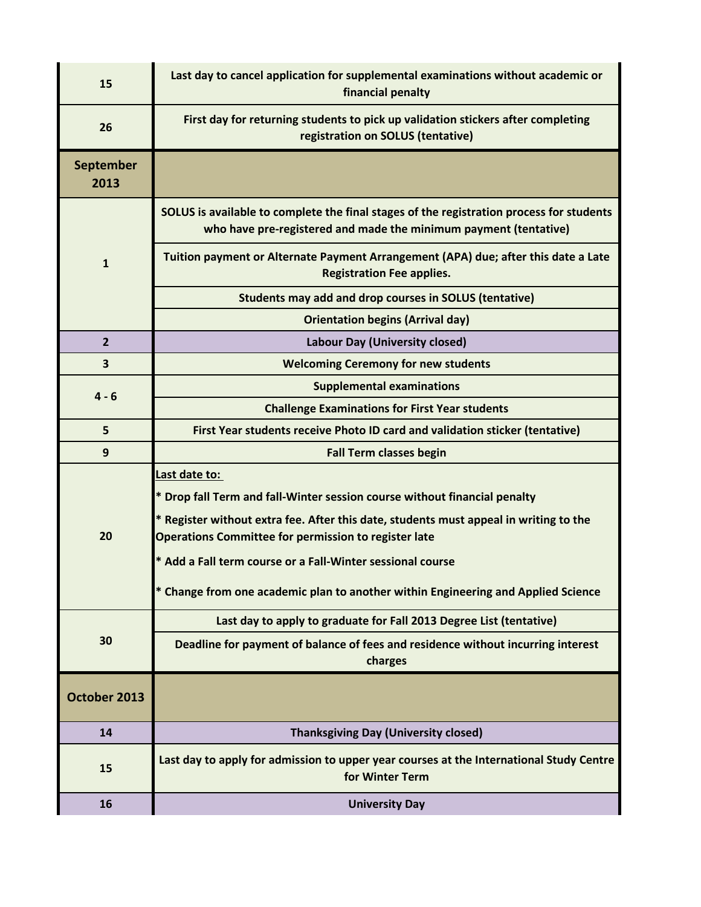| 15                       | Last day to cancel application for supplemental examinations without academic or<br>financial penalty                                                                                                                                                                                                                                                                                          |
|--------------------------|------------------------------------------------------------------------------------------------------------------------------------------------------------------------------------------------------------------------------------------------------------------------------------------------------------------------------------------------------------------------------------------------|
| 26                       | First day for returning students to pick up validation stickers after completing<br>registration on SOLUS (tentative)                                                                                                                                                                                                                                                                          |
| <b>September</b><br>2013 |                                                                                                                                                                                                                                                                                                                                                                                                |
| $\mathbf{1}$             | SOLUS is available to complete the final stages of the registration process for students<br>who have pre-registered and made the minimum payment (tentative)                                                                                                                                                                                                                                   |
|                          | Tuition payment or Alternate Payment Arrangement (APA) due; after this date a Late<br><b>Registration Fee applies.</b>                                                                                                                                                                                                                                                                         |
|                          | Students may add and drop courses in SOLUS (tentative)                                                                                                                                                                                                                                                                                                                                         |
|                          | <b>Orientation begins (Arrival day)</b>                                                                                                                                                                                                                                                                                                                                                        |
| $\overline{2}$           | <b>Labour Day (University closed)</b>                                                                                                                                                                                                                                                                                                                                                          |
| 3                        | <b>Welcoming Ceremony for new students</b>                                                                                                                                                                                                                                                                                                                                                     |
| $4 - 6$                  | <b>Supplemental examinations</b>                                                                                                                                                                                                                                                                                                                                                               |
|                          | <b>Challenge Examinations for First Year students</b>                                                                                                                                                                                                                                                                                                                                          |
| 5                        | First Year students receive Photo ID card and validation sticker (tentative)                                                                                                                                                                                                                                                                                                                   |
| 9                        | <b>Fall Term classes begin</b>                                                                                                                                                                                                                                                                                                                                                                 |
| 20                       | Last date to:<br>* Drop fall Term and fall-Winter session course without financial penalty<br>* Register without extra fee. After this date, students must appeal in writing to the<br>Operations Committee for permission to register late<br>* Add a Fall term course or a Fall-Winter sessional course<br>* Change from one academic plan to another within Engineering and Applied Science |
| 30                       | Last day to apply to graduate for Fall 2013 Degree List (tentative)                                                                                                                                                                                                                                                                                                                            |
|                          | Deadline for payment of balance of fees and residence without incurring interest<br>charges                                                                                                                                                                                                                                                                                                    |
| October 2013             |                                                                                                                                                                                                                                                                                                                                                                                                |
| 14                       | <b>Thanksgiving Day (University closed)</b>                                                                                                                                                                                                                                                                                                                                                    |
| 15                       | Last day to apply for admission to upper year courses at the International Study Centre<br>for Winter Term                                                                                                                                                                                                                                                                                     |
| 16                       | <b>University Day</b>                                                                                                                                                                                                                                                                                                                                                                          |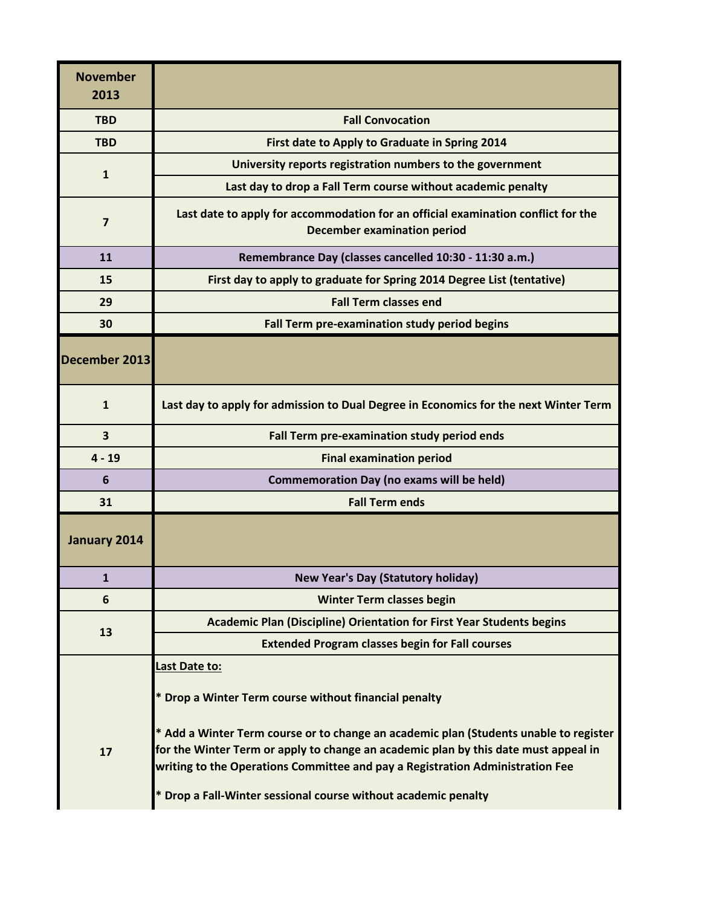| <b>November</b><br>2013 |                                                                                                                                                                                                                                                               |
|-------------------------|---------------------------------------------------------------------------------------------------------------------------------------------------------------------------------------------------------------------------------------------------------------|
| <b>TBD</b>              | <b>Fall Convocation</b>                                                                                                                                                                                                                                       |
| <b>TBD</b>              | First date to Apply to Graduate in Spring 2014                                                                                                                                                                                                                |
| $\mathbf{1}$            | University reports registration numbers to the government                                                                                                                                                                                                     |
|                         | Last day to drop a Fall Term course without academic penalty                                                                                                                                                                                                  |
| $\overline{\mathbf{z}}$ | Last date to apply for accommodation for an official examination conflict for the<br><b>December examination period</b>                                                                                                                                       |
| 11                      | Remembrance Day (classes cancelled 10:30 - 11:30 a.m.)                                                                                                                                                                                                        |
| 15                      | First day to apply to graduate for Spring 2014 Degree List (tentative)                                                                                                                                                                                        |
| 29                      | <b>Fall Term classes end</b>                                                                                                                                                                                                                                  |
| 30                      | Fall Term pre-examination study period begins                                                                                                                                                                                                                 |
| December 2013           |                                                                                                                                                                                                                                                               |
| $\mathbf{1}$            | Last day to apply for admission to Dual Degree in Economics for the next Winter Term                                                                                                                                                                          |
| 3                       | Fall Term pre-examination study period ends                                                                                                                                                                                                                   |
| $4 - 19$                | <b>Final examination period</b>                                                                                                                                                                                                                               |
| 6                       | <b>Commemoration Day (no exams will be held)</b>                                                                                                                                                                                                              |
| 31                      | <b>Fall Term ends</b>                                                                                                                                                                                                                                         |
| January 2014            |                                                                                                                                                                                                                                                               |
| 1                       | <b>New Year's Day (Statutory holiday)</b>                                                                                                                                                                                                                     |
| 6                       | <b>Winter Term classes begin</b>                                                                                                                                                                                                                              |
|                         | <b>Academic Plan (Discipline) Orientation for First Year Students begins</b>                                                                                                                                                                                  |
| 13                      | <b>Extended Program classes begin for Fall courses</b>                                                                                                                                                                                                        |
|                         | Last Date to:                                                                                                                                                                                                                                                 |
|                         | * Drop a Winter Term course without financial penalty                                                                                                                                                                                                         |
| 17                      | * Add a Winter Term course or to change an academic plan (Students unable to register<br>for the Winter Term or apply to change an academic plan by this date must appeal in<br>writing to the Operations Committee and pay a Registration Administration Fee |
|                         | * Drop a Fall-Winter sessional course without academic penalty                                                                                                                                                                                                |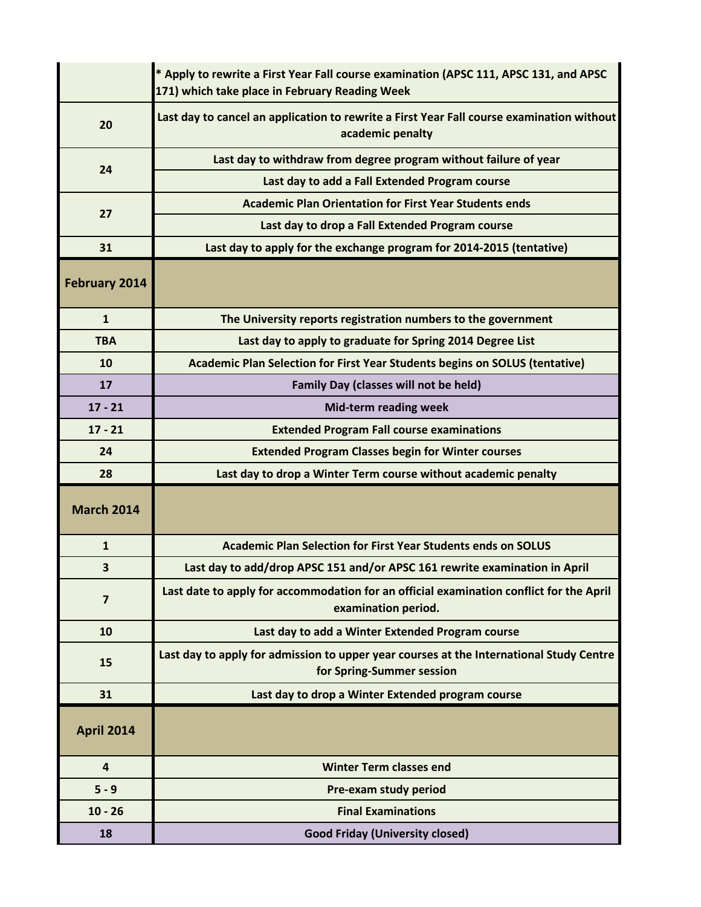|                      | * Apply to rewrite a First Year Fall course examination (APSC 111, APSC 131, and APSC<br>171) which take place in February Reading Week |
|----------------------|-----------------------------------------------------------------------------------------------------------------------------------------|
| 20                   | Last day to cancel an application to rewrite a First Year Fall course examination without<br>academic penalty                           |
| 24                   | Last day to withdraw from degree program without failure of year                                                                        |
|                      | Last day to add a Fall Extended Program course                                                                                          |
| 27                   | <b>Academic Plan Orientation for First Year Students ends</b>                                                                           |
|                      | Last day to drop a Fall Extended Program course                                                                                         |
| 31                   | Last day to apply for the exchange program for 2014-2015 (tentative)                                                                    |
| <b>February 2014</b> |                                                                                                                                         |
| $\mathbf{1}$         | The University reports registration numbers to the government                                                                           |
| <b>TBA</b>           | Last day to apply to graduate for Spring 2014 Degree List                                                                               |
| 10                   | Academic Plan Selection for First Year Students begins on SOLUS (tentative)                                                             |
| 17                   | <b>Family Day (classes will not be held)</b>                                                                                            |
| $17 - 21$            | <b>Mid-term reading week</b>                                                                                                            |
| $17 - 21$            | <b>Extended Program Fall course examinations</b>                                                                                        |
| 24                   | <b>Extended Program Classes begin for Winter courses</b>                                                                                |
| 28                   | Last day to drop a Winter Term course without academic penalty                                                                          |
| <b>March 2014</b>    |                                                                                                                                         |
| $\mathbf{1}$         | <b>Academic Plan Selection for First Year Students ends on SOLUS</b>                                                                    |
| 3                    | Last day to add/drop APSC 151 and/or APSC 161 rewrite examination in April                                                              |
| $\overline{7}$       | Last date to apply for accommodation for an official examination conflict for the April<br>examination period.                          |
| 10                   | Last day to add a Winter Extended Program course                                                                                        |
| 15                   | Last day to apply for admission to upper year courses at the International Study Centre<br>for Spring-Summer session                    |
| 31                   | Last day to drop a Winter Extended program course                                                                                       |
| <b>April 2014</b>    |                                                                                                                                         |
| $\overline{4}$       | <b>Winter Term classes end</b>                                                                                                          |
| $5 - 9$              | Pre-exam study period                                                                                                                   |
| $10 - 26$            | <b>Final Examinations</b>                                                                                                               |
| 18                   | <b>Good Friday (University closed)</b>                                                                                                  |